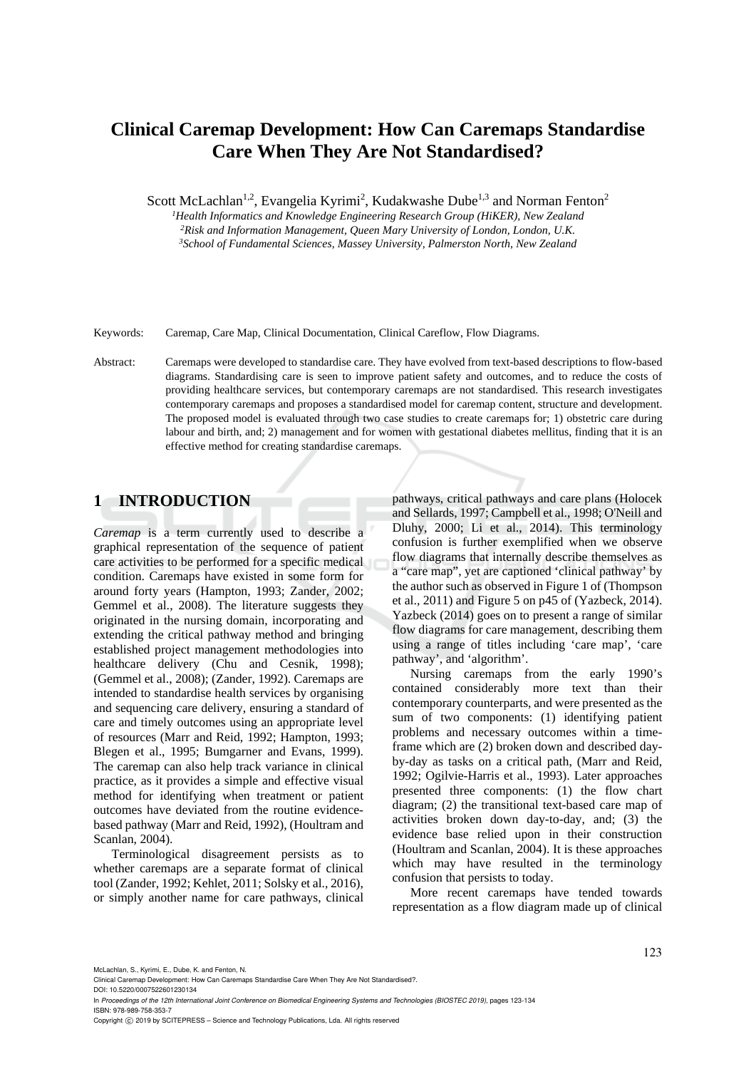# **Clinical Caremap Development: How Can Caremaps Standardise Care When They Are Not Standardised?**

Scott McLachlan<sup>1,2</sup>, Evangelia Kyrimi<sup>2</sup>, Kudakwashe Dube<sup>1,3</sup> and Norman Fenton<sup>2</sup>

<sup>1</sup>Health Informatics and Knowledge Engineering Research Group (HiKER), New Zealand  ${}^{2}$ Risk and Information Management, Queen Mary University of London, London, U.K.<br> ${}^{3}$ School of Fundamental Sciences, Massey University, Palmerston North, New Zealand

Keywords: Caremap, Care Map, Clinical Documentation, Clinical Careflow, Flow Diagrams.

Abstract: Caremaps were developed to standardise care. They have evolved from text-based descriptions to flow-based diagrams. Standardising care is seen to improve patient safety and outcomes, and to reduce the costs of providing healthcare services, but contemporary caremaps are not standardised. This research investigates contemporary caremaps and proposes a standardised model for caremap content, structure and development. The proposed model is evaluated through two case studies to create caremaps for; 1) obstetric care during labour and birth, and; 2) management and for women with gestational diabetes mellitus, finding that it is an effective method for creating standardise caremaps.

## **1 INTRODUCTION**

*Caremap* is a term currently used to describe a graphical representation of the sequence of patient care activities to be performed for a specific medical condition. Caremaps have existed in some form for around forty years (Hampton, 1993; Zander, 2002; Gemmel et al., 2008). The literature suggests they originated in the nursing domain, incorporating and extending the critical pathway method and bringing established project management methodologies into healthcare delivery (Chu and Cesnik, 1998); (Gemmel et al., 2008); (Zander, 1992). Caremaps are intended to standardise health services by organising and sequencing care delivery, ensuring a standard of care and timely outcomes using an appropriate level of resources (Marr and Reid, 1992; Hampton, 1993; Blegen et al., 1995; Bumgarner and Evans, 1999). The caremap can also help track variance in clinical practice, as it provides a simple and effective visual method for identifying when treatment or patient outcomes have deviated from the routine evidencebased pathway (Marr and Reid, 1992), (Houltram and Scanlan, 2004).

Terminological disagreement persists as to whether caremaps are a separate format of clinical tool (Zander, 1992; Kehlet, 2011; Solsky et al.*,* 2016), or simply another name for care pathways, clinical

pathways, critical pathways and care plans (Holocek and Sellards, 1997; Campbell et al., 1998; O'Neill and Dluhy, 2000; Li et al., 2014). This terminology confusion is further exemplified when we observe flow diagrams that internally describe themselves as a "care map", yet are captioned 'clinical pathway' by the author such as observed in Figure 1 of (Thompson et al.*,* 2011) and Figure 5 on p45 of (Yazbeck, 2014). Yazbeck (2014) goes on to present a range of similar flow diagrams for care management, describing them using a range of titles including 'care map', 'care pathway', and 'algorithm'.

Nursing caremaps from the early 1990's contained considerably more text than their contemporary counterparts, and were presented as the sum of two components: (1) identifying patient problems and necessary outcomes within a timeframe which are (2) broken down and described dayby-day as tasks on a critical path, (Marr and Reid, 1992; Ogilvie-Harris et al., 1993). Later approaches presented three components: (1) the flow chart diagram; (2) the transitional text-based care map of activities broken down day-to-day, and; (3) the evidence base relied upon in their construction (Houltram and Scanlan, 2004). It is these approaches which may have resulted in the terminology confusion that persists to today.

More recent caremaps have tended towards representation as a flow diagram made up of clinical

McLachlan, S., Kyrimi, E., Dube, K. and Fenton, N.

Copyright © 2019 by SCITEPRESS - Science and Technology Publications, Lda. All rights reserved

Clinical Caremap Development: How Can Caremaps Standardise Care When They Are Not Standardised?. DOI: 10.5220/0007522601230134

In *Proceedings of the 12th International Joint Conference on Biomedical Engineering Systems and Technologies (BIOSTEC 2019)*, pages 123-134 ISBN: 978-989-758-353-7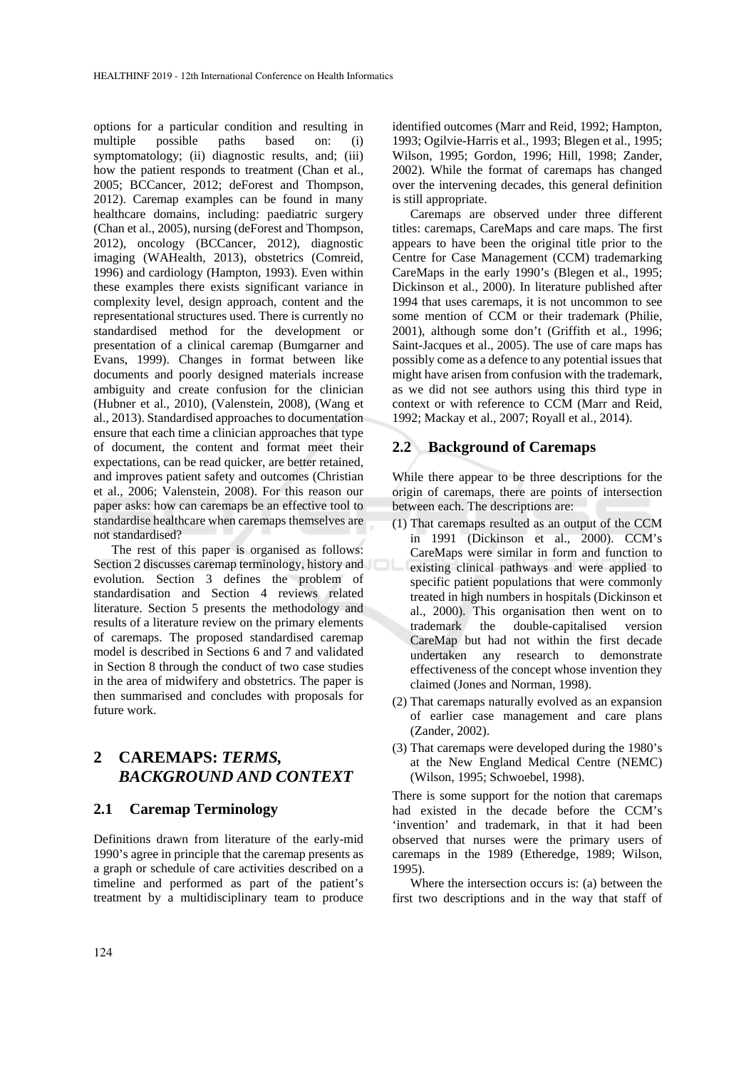options for a particular condition and resulting in multiple possible paths based on: (i) symptomatology; (ii) diagnostic results, and; (iii) how the patient responds to treatment (Chan et al., 2005; BCCancer, 2012; deForest and Thompson, 2012). Caremap examples can be found in many healthcare domains, including: paediatric surgery (Chan et al., 2005), nursing (deForest and Thompson, 2012), oncology (BCCancer, 2012), diagnostic imaging (WAHealth, 2013), obstetrics (Comreid, 1996) and cardiology (Hampton, 1993). Even within these examples there exists significant variance in complexity level, design approach, content and the representational structures used. There is currently no standardised method for the development or presentation of a clinical caremap (Bumgarner and Evans, 1999). Changes in format between like documents and poorly designed materials increase ambiguity and create confusion for the clinician (Hubner et al., 2010), (Valenstein, 2008), (Wang et al., 2013). Standardised approaches to documentation ensure that each time a clinician approaches that type of document, the content and format meet their expectations, can be read quicker, are better retained, and improves patient safety and outcomes (Christian et al., 2006; Valenstein, 2008). For this reason our paper asks: how can caremaps be an effective tool to standardise healthcare when caremaps themselves are not standardised?

The rest of this paper is organised as follows: Section 2 discusses caremap terminology, history and evolution. Section 3 defines the problem of standardisation and Section 4 reviews related literature. Section 5 presents the methodology and results of a literature review on the primary elements of caremaps. The proposed standardised caremap model is described in Sections 6 and 7 and validated in Section 8 through the conduct of two case studies in the area of midwifery and obstetrics. The paper is then summarised and concludes with proposals for future work.

## **2 CAREMAPS:** *TERMS, BACKGROUND AND CONTEXT*

#### **2.1 Caremap Terminology**

Definitions drawn from literature of the early-mid 1990's agree in principle that the caremap presents as a graph or schedule of care activities described on a timeline and performed as part of the patient's treatment by a multidisciplinary team to produce

identified outcomes (Marr and Reid, 1992; Hampton, 1993; Ogilvie-Harris et al.*,* 1993; Blegen et al., 1995; Wilson, 1995; Gordon, 1996; Hill, 1998; Zander, 2002). While the format of caremaps has changed over the intervening decades, this general definition is still appropriate.

Caremaps are observed under three different titles: caremaps, CareMaps and care maps. The first appears to have been the original title prior to the Centre for Case Management (CCM) trademarking CareMaps in the early 1990's (Blegen et al., 1995; Dickinson et al., 2000). In literature published after 1994 that uses caremaps, it is not uncommon to see some mention of CCM or their trademark (Philie, 2001), although some don't (Griffith et al., 1996; Saint-Jacques et al., 2005). The use of care maps has possibly come as a defence to any potential issues that might have arisen from confusion with the trademark, as we did not see authors using this third type in context or with reference to CCM (Marr and Reid, 1992; Mackay et al., 2007; Royall et al., 2014).

#### **2.2 Background of Caremaps**

While there appear to be three descriptions for the origin of caremaps, there are points of intersection between each. The descriptions are:

- (1) That caremaps resulted as an output of the CCM in 1991 (Dickinson et al., 2000). CCM's CareMaps were similar in form and function to existing clinical pathways and were applied to specific patient populations that were commonly treated in high numbers in hospitals (Dickinson et al., 2000). This organisation then went on to trademark the double-capitalised version CareMap but had not within the first decade undertaken any research to demonstrate effectiveness of the concept whose invention they claimed (Jones and Norman, 1998).
- (2) That caremaps naturally evolved as an expansion of earlier case management and care plans (Zander, 2002).
- (3) That caremaps were developed during the 1980's at the New England Medical Centre (NEMC) (Wilson, 1995; Schwoebel, 1998).

There is some support for the notion that caremaps had existed in the decade before the CCM's 'invention' and trademark, in that it had been observed that nurses were the primary users of caremaps in the 1989 (Etheredge, 1989; Wilson, 1995).

Where the intersection occurs is: (a) between the first two descriptions and in the way that staff of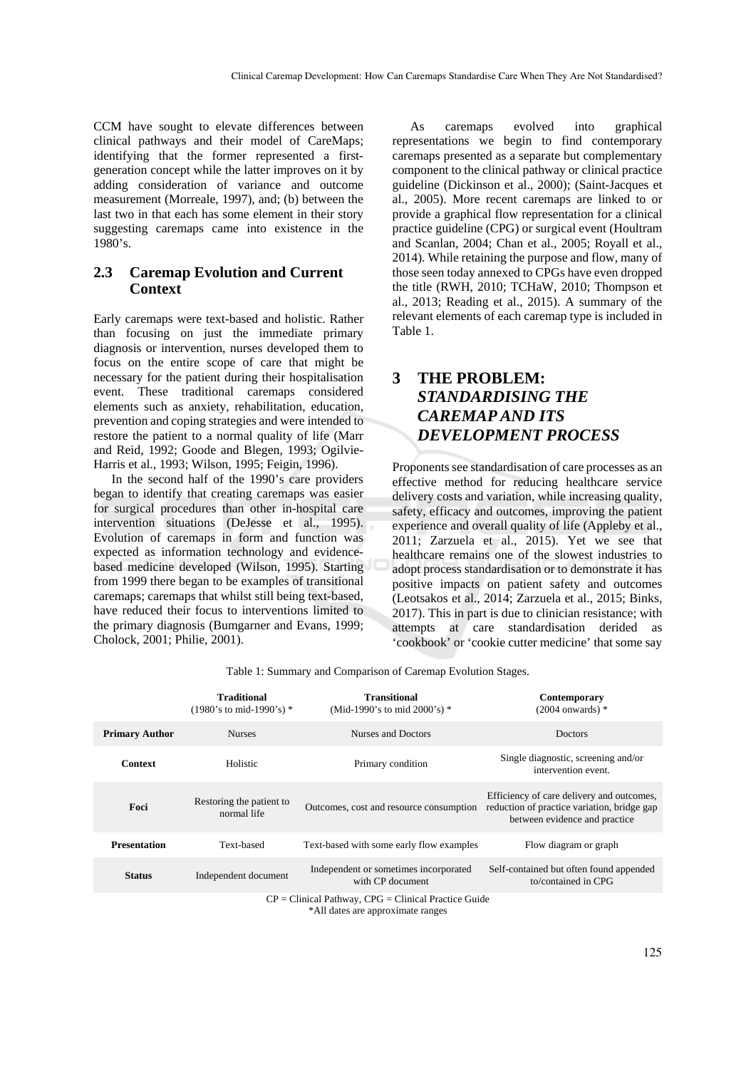CCM have sought to elevate differences between clinical pathways and their model of CareMaps; identifying that the former represented a firstgeneration concept while the latter improves on it by adding consideration of variance and outcome measurement (Morreale, 1997), and; (b) between the last two in that each has some element in their story suggesting caremaps came into existence in the 1980's.

## **2.3 Caremap Evolution and Current Context**

Early caremaps were text-based and holistic. Rather than focusing on just the immediate primary diagnosis or intervention, nurses developed them to focus on the entire scope of care that might be necessary for the patient during their hospitalisation event. These traditional caremaps considered elements such as anxiety, rehabilitation, education, prevention and coping strategies and were intended to restore the patient to a normal quality of life (Marr and Reid, 1992; Goode and Blegen, 1993; Ogilvie-Harris et al., 1993; Wilson, 1995; Feigin, 1996).

In the second half of the 1990's care providers began to identify that creating caremaps was easier for surgical procedures than other in-hospital care intervention situations (DeJesse et al., 1995). Evolution of caremaps in form and function was expected as information technology and evidencebased medicine developed (Wilson, 1995). Starting from 1999 there began to be examples of transitional caremaps; caremaps that whilst still being text-based, have reduced their focus to interventions limited to the primary diagnosis (Bumgarner and Evans, 1999; Cholock, 2001; Philie, 2001).

As caremaps evolved into graphical representations we begin to find contemporary caremaps presented as a separate but complementary component to the clinical pathway or clinical practice guideline (Dickinson et al., 2000); (Saint-Jacques et al., 2005). More recent caremaps are linked to or provide a graphical flow representation for a clinical practice guideline (CPG) or surgical event (Houltram and Scanlan, 2004; Chan et al., 2005; Royall et al., 2014). While retaining the purpose and flow, many of those seen today annexed to CPGs have even dropped the title (RWH, 2010; TCHaW, 2010; Thompson et al., 2013; Reading et al., 2015). A summary of the relevant elements of each caremap type is included in Table 1.

# **3 THE PROBLEM:**  *STANDARDISING THE CAREMAP AND ITS DEVELOPMENT PROCESS*

Proponents see standardisation of care processes as an effective method for reducing healthcare service delivery costs and variation, while increasing quality, safety, efficacy and outcomes, improving the patient experience and overall quality of life (Appleby et al., 2011; Zarzuela et al., 2015). Yet we see that healthcare remains one of the slowest industries to adopt process standardisation or to demonstrate it has positive impacts on patient safety and outcomes (Leotsakos et al., 2014; Zarzuela et al., 2015; Binks, 2017). This in part is due to clinician resistance; with attempts at care standardisation derided as 'cookbook' or 'cookie cutter medicine' that some say

|                                                                                             | <b>Traditional</b><br>$(1980)$ 's to mid-1990's) * | <b>Transitional</b><br>(Mid-1990's to mid 2000's) $*$     | Contemporary<br>$(2004$ onwards) $*$                                                                                      |  |
|---------------------------------------------------------------------------------------------|----------------------------------------------------|-----------------------------------------------------------|---------------------------------------------------------------------------------------------------------------------------|--|
| <b>Primary Author</b>                                                                       | <b>Nurses</b>                                      | Nurses and Doctors                                        | Doctors                                                                                                                   |  |
| <b>Context</b>                                                                              | Holistic                                           | Primary condition                                         | Single diagnostic, screening and/or<br>intervention event.                                                                |  |
| Foci                                                                                        | Restoring the patient to<br>normal life            | Outcomes, cost and resource consumption                   | Efficiency of care delivery and outcomes,<br>reduction of practice variation, bridge gap<br>between evidence and practice |  |
| <b>Presentation</b>                                                                         | Text-based                                         | Text-based with some early flow examples                  | Flow diagram or graph                                                                                                     |  |
| <b>Status</b>                                                                               | Independent document                               | Independent or sometimes incorporated<br>with CP document | Self-contained but often found appended<br>to/contained in CPG                                                            |  |
| $CP = Clinical Pathway, CPG = Clinical Practice Guide$<br>*All dates are approximate ranges |                                                    |                                                           |                                                                                                                           |  |

Table 1: Summary and Comparison of Caremap Evolution Stages.

125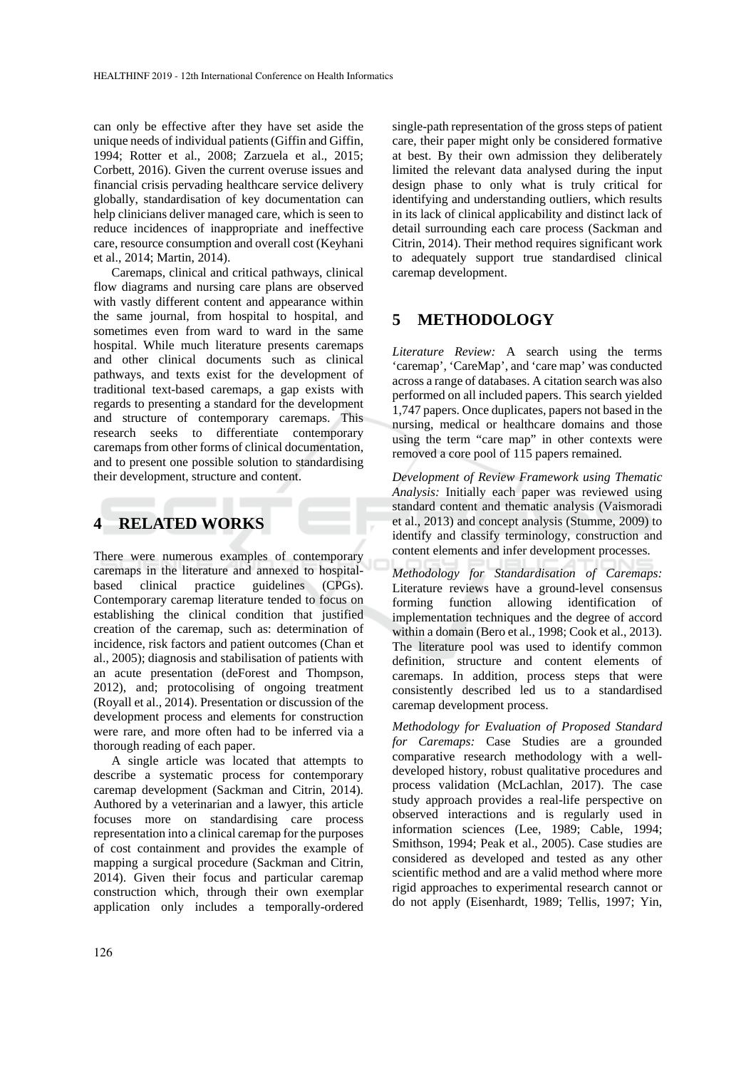can only be effective after they have set aside the unique needs of individual patients (Giffin and Giffin, 1994; Rotter et al., 2008; Zarzuela et al., 2015; Corbett, 2016). Given the current overuse issues and financial crisis pervading healthcare service delivery globally, standardisation of key documentation can help clinicians deliver managed care, which is seen to reduce incidences of inappropriate and ineffective care, resource consumption and overall cost (Keyhani et al., 2014; Martin, 2014).

Caremaps, clinical and critical pathways, clinical flow diagrams and nursing care plans are observed with vastly different content and appearance within the same journal, from hospital to hospital, and sometimes even from ward to ward in the same hospital. While much literature presents caremaps and other clinical documents such as clinical pathways, and texts exist for the development of traditional text-based caremaps, a gap exists with regards to presenting a standard for the development and structure of contemporary caremaps. This research seeks to differentiate contemporary caremaps from other forms of clinical documentation, and to present one possible solution to standardising their development, structure and content.

# **4 RELATED WORKS**

There were numerous examples of contemporary caremaps in the literature and annexed to hospitalbased clinical practice guidelines (CPGs). Contemporary caremap literature tended to focus on establishing the clinical condition that justified creation of the caremap, such as: determination of incidence, risk factors and patient outcomes (Chan et al., 2005); diagnosis and stabilisation of patients with an acute presentation (deForest and Thompson, 2012), and; protocolising of ongoing treatment (Royall et al., 2014). Presentation or discussion of the development process and elements for construction were rare, and more often had to be inferred via a thorough reading of each paper.

A single article was located that attempts to describe a systematic process for contemporary caremap development (Sackman and Citrin, 2014). Authored by a veterinarian and a lawyer, this article focuses more on standardising care process representation into a clinical caremap for the purposes of cost containment and provides the example of mapping a surgical procedure (Sackman and Citrin, 2014). Given their focus and particular caremap construction which, through their own exemplar application only includes a temporally-ordered

single-path representation of the gross steps of patient care, their paper might only be considered formative at best. By their own admission they deliberately limited the relevant data analysed during the input design phase to only what is truly critical for identifying and understanding outliers, which results in its lack of clinical applicability and distinct lack of detail surrounding each care process (Sackman and Citrin, 2014). Their method requires significant work to adequately support true standardised clinical caremap development.

## **5 METHODOLOGY**

*Literature Review:* A search using the terms 'caremap', 'CareMap', and 'care map' was conducted across a range of databases. A citation search was also performed on all included papers. This search yielded 1,747 papers. Once duplicates, papers not based in the nursing, medical or healthcare domains and those using the term "care map" in other contexts were removed a core pool of 115 papers remained.

*Development of Review Framework using Thematic Analysis:* Initially each paper was reviewed using standard content and thematic analysis (Vaismoradi et al., 2013) and concept analysis (Stumme, 2009) to identify and classify terminology, construction and content elements and infer development processes.

*Methodology for Standardisation of Caremaps:* Literature reviews have a ground-level consensus forming function allowing identification of implementation techniques and the degree of accord within a domain (Bero et al., 1998; Cook et al., 2013). The literature pool was used to identify common definition, structure and content elements of caremaps. In addition, process steps that were consistently described led us to a standardised caremap development process.

*Methodology for Evaluation of Proposed Standard for Caremaps:* Case Studies are a grounded comparative research methodology with a welldeveloped history, robust qualitative procedures and process validation (McLachlan, 2017). The case study approach provides a real-life perspective on observed interactions and is regularly used in information sciences (Lee, 1989; Cable, 1994; Smithson, 1994; Peak et al., 2005). Case studies are considered as developed and tested as any other scientific method and are a valid method where more rigid approaches to experimental research cannot or do not apply (Eisenhardt, 1989; Tellis, 1997; Yin,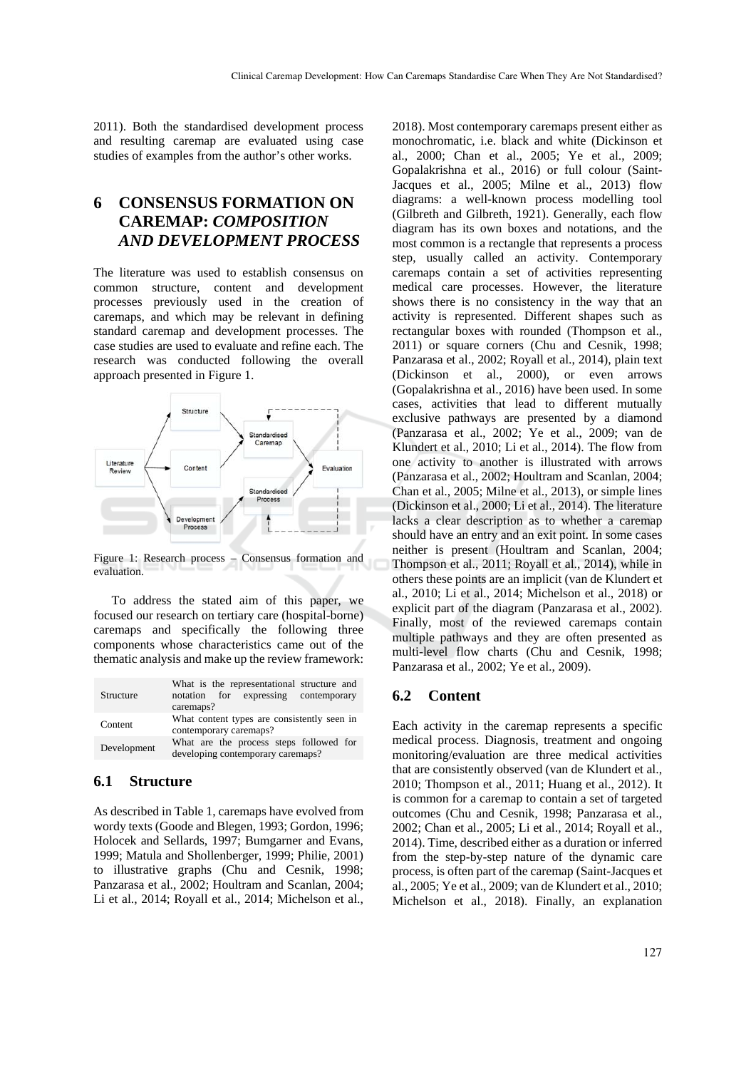2011). Both the standardised development process and resulting caremap are evaluated using case studies of examples from the author's other works.

# **6 CONSENSUS FORMATION ON CAREMAP:** *COMPOSITION AND DEVELOPMENT PROCESS*

The literature was used to establish consensus on common structure, content and development processes previously used in the creation of caremaps, and which may be relevant in defining standard caremap and development processes. The case studies are used to evaluate and refine each. The research was conducted following the overall approach presented in Figure 1.



Figure 1: Research process – Consensus formation and evaluation.

To address the stated aim of this paper, we focused our research on tertiary care (hospital-borne) caremaps and specifically the following three components whose characteristics came out of the thematic analysis and make up the review framework:

| Structure   | What is the representational structure and<br>notation for expressing contemporary<br>caremaps? |  |
|-------------|-------------------------------------------------------------------------------------------------|--|
| Content     | What content types are consistently seen in<br>contemporary caremaps?                           |  |
| Development | What are the process steps followed for<br>developing contemporary caremaps?                    |  |

#### **6.1 Structure**

As described in Table 1, caremaps have evolved from wordy texts (Goode and Blegen, 1993; Gordon, 1996; Holocek and Sellards, 1997; Bumgarner and Evans, 1999; Matula and Shollenberger, 1999; Philie, 2001) to illustrative graphs (Chu and Cesnik, 1998; Panzarasa et al., 2002; Houltram and Scanlan, 2004; Li et al., 2014; Royall et al., 2014; Michelson et al., 2018). Most contemporary caremaps present either as monochromatic, i.e. black and white (Dickinson et al., 2000; Chan et al., 2005; Ye et al., 2009; Gopalakrishna et al., 2016) or full colour (Saint-Jacques et al., 2005; Milne et al., 2013) flow diagrams: a well-known process modelling tool (Gilbreth and Gilbreth, 1921). Generally, each flow diagram has its own boxes and notations, and the most common is a rectangle that represents a process step, usually called an activity. Contemporary caremaps contain a set of activities representing medical care processes. However, the literature shows there is no consistency in the way that an activity is represented. Different shapes such as rectangular boxes with rounded (Thompson et al., 2011) or square corners (Chu and Cesnik, 1998; Panzarasa et al., 2002; Royall et al., 2014), plain text (Dickinson et al., 2000), or even arrows (Gopalakrishna et al., 2016) have been used. In some cases, activities that lead to different mutually exclusive pathways are presented by a diamond (Panzarasa et al., 2002; Ye et al., 2009; van de Klundert et al., 2010; Li et al., 2014). The flow from one activity to another is illustrated with arrows (Panzarasa et al., 2002; Houltram and Scanlan, 2004; Chan et al., 2005; Milne et al., 2013), or simple lines (Dickinson et al., 2000; Li et al., 2014). The literature lacks a clear description as to whether a caremap should have an entry and an exit point. In some cases neither is present (Houltram and Scanlan, 2004; Thompson et al., 2011; Royall et al., 2014), while in others these points are an implicit (van de Klundert et al., 2010; Li et al., 2014; Michelson et al., 2018) or explicit part of the diagram (Panzarasa et al., 2002). Finally, most of the reviewed caremaps contain multiple pathways and they are often presented as multi-level flow charts (Chu and Cesnik, 1998; Panzarasa et al., 2002; Ye et al., 2009).

#### **6.2 Content**

Each activity in the caremap represents a specific medical process. Diagnosis, treatment and ongoing monitoring/evaluation are three medical activities that are consistently observed (van de Klundert et al., 2010; Thompson et al., 2011; Huang et al., 2012). It is common for a caremap to contain a set of targeted outcomes (Chu and Cesnik, 1998; Panzarasa et al., 2002; Chan et al., 2005; Li et al., 2014; Royall et al., 2014). Time, described either as a duration or inferred from the step-by-step nature of the dynamic care process, is often part of the caremap (Saint-Jacques et al., 2005; Ye et al., 2009; van de Klundert et al., 2010; Michelson et al., 2018). Finally, an explanation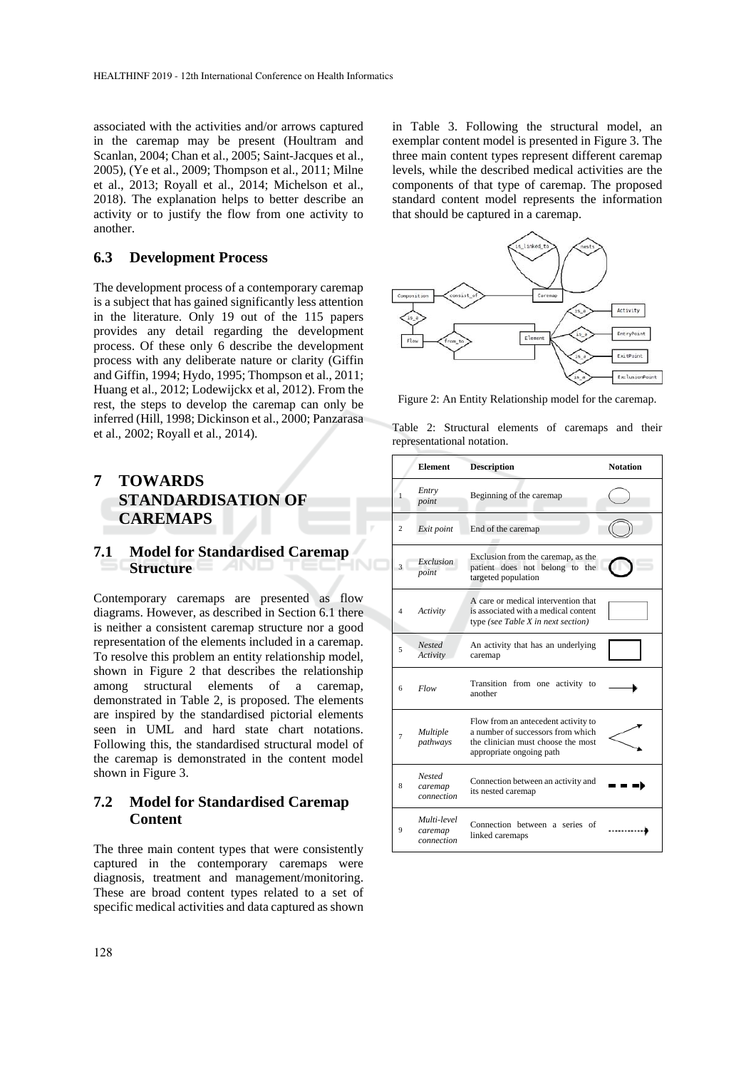associated with the activities and/or arrows captured in the caremap may be present (Houltram and Scanlan, 2004; Chan et al., 2005; Saint-Jacques et al., 2005), (Ye et al., 2009; Thompson et al., 2011; Milne et al., 2013; Royall et al., 2014; Michelson et al., 2018). The explanation helps to better describe an activity or to justify the flow from one activity to another.

### **6.3 Development Process**

The development process of a contemporary caremap is a subject that has gained significantly less attention in the literature. Only 19 out of the 115 papers provides any detail regarding the development process. Of these only 6 describe the development process with any deliberate nature or clarity (Giffin and Giffin, 1994; Hydo, 1995; Thompson et al., 2011; Huang et al., 2012; Lodewijckx et al, 2012). From the rest, the steps to develop the caremap can only be inferred (Hill, 1998; Dickinson et al., 2000; Panzarasa et al., 2002; Royall et al., 2014).

# **7 TOWARDS STANDARDISATION OF CAREMAPS**

#### **7.1 Model for Standardised Caremap Structure**

Contemporary caremaps are presented as flow diagrams. However, as described in Section 6.1 there is neither a consistent caremap structure nor a good representation of the elements included in a caremap. To resolve this problem an entity relationship model, shown in Figure 2 that describes the relationship among structural elements of a caremap, demonstrated in Table 2, is proposed. The elements are inspired by the standardised pictorial elements seen in UML and hard state chart notations. Following this, the standardised structural model of the caremap is demonstrated in the content model shown in Figure 3.

## **7.2 Model for Standardised Caremap Content**

The three main content types that were consistently captured in the contemporary caremaps were diagnosis, treatment and management/monitoring. These are broad content types related to a set of specific medical activities and data captured as shown

in Table 3. Following the structural model, an exemplar content model is presented in Figure 3. The three main content types represent different caremap levels, while the described medical activities are the components of that type of caremap. The proposed standard content model represents the information that should be captured in a caremap.



Figure 2: An Entity Relationship model for the caremap.

Table 2: Structural elements of caremaps and their representational notation.

|                | <b>Element</b>                         | <b>Description</b>                                                                                                                         | <b>Notation</b> |
|----------------|----------------------------------------|--------------------------------------------------------------------------------------------------------------------------------------------|-----------------|
| 1              | Entry<br>point                         | Beginning of the caremap                                                                                                                   |                 |
| $\overline{c}$ | Exit point                             | End of the caremap                                                                                                                         |                 |
| $\mathbf{3}$   | Exclusion<br>point                     | Exclusion from the caremap, as the<br>patient does not belong to the<br>targeted population                                                |                 |
| 4              | Activity                               | A care or medical intervention that<br>is associated with a medical content<br>type (see Table X in next section)                          |                 |
| 5              | <b>Nested</b><br>Activity              | An activity that has an underlying<br>caremap                                                                                              |                 |
| 6              | Flow                                   | Transition from one activity to<br>another                                                                                                 |                 |
| 7              | Multiple<br>pathways                   | Flow from an antecedent activity to<br>a number of successors from which<br>the clinician must choose the most<br>appropriate ongoing path |                 |
| 8              | <b>Nested</b><br>caremap<br>connection | Connection between an activity and<br>its nested caremap                                                                                   |                 |
| 9              | Multi-level<br>caremap<br>connection   | Connection between a series of<br>linked caremaps                                                                                          |                 |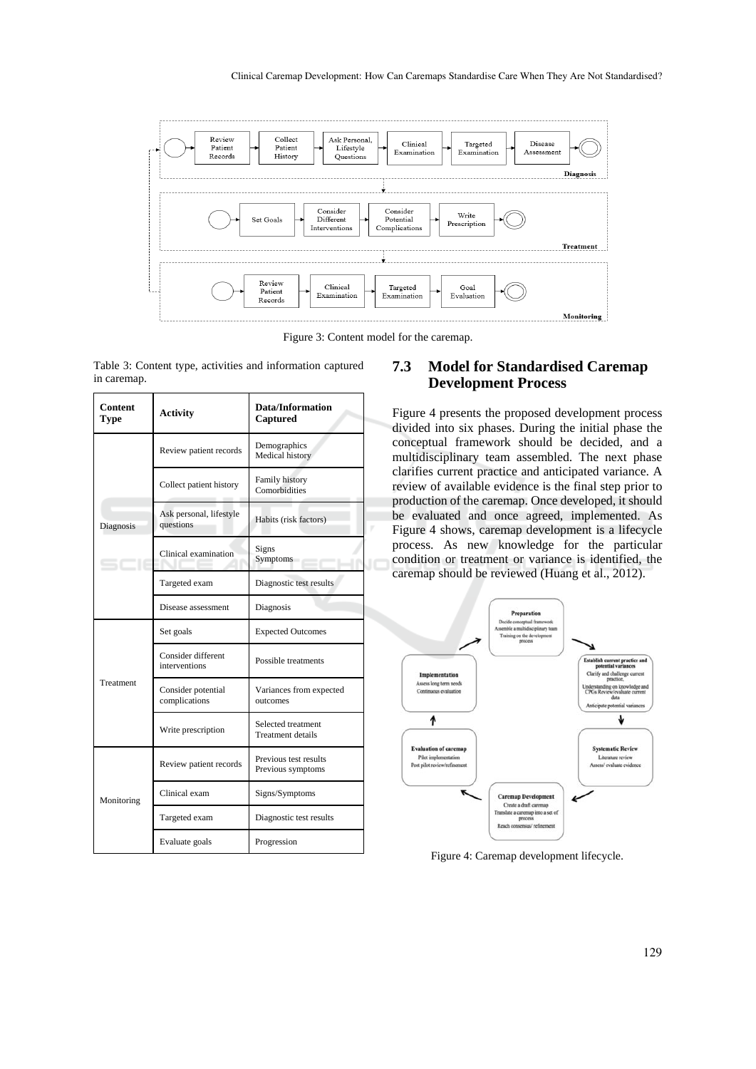

Figure 3: Content model for the caremap.

| Table 3: Content type, activities and information captured |  |  |
|------------------------------------------------------------|--|--|
| in caremap.                                                |  |  |

| Content<br>Type | <b>Activity</b>                      | Data/Information<br>Captured                   |  |
|-----------------|--------------------------------------|------------------------------------------------|--|
| Diagnosis       | Review patient records               | Demographics<br>Medical history                |  |
|                 | Collect patient history              | Family history<br>Comorbidities                |  |
|                 | Ask personal, lifestyle<br>questions | Habits (risk factors)                          |  |
|                 | Clinical examination                 | Signs<br>Symptoms                              |  |
|                 | Targeted exam                        | Diagnostic test results                        |  |
|                 | Disease assessment                   | Diagnosis                                      |  |
| Treatment       | Set goals                            | <b>Expected Outcomes</b>                       |  |
|                 | Consider different<br>interventions  | Possible treatments                            |  |
|                 | Consider potential<br>complications  | Variances from expected<br>outcomes            |  |
|                 | Write prescription                   | Selected treatment<br><b>Treatment details</b> |  |
| Monitoring      | Review patient records               | Previous test results<br>Previous symptoms     |  |
|                 | Clinical exam                        | Signs/Symptoms                                 |  |
|                 | Targeted exam                        | Diagnostic test results                        |  |
|                 | Evaluate goals                       | Progression                                    |  |

### **7.3 Model for Standardised Caremap Development Process**

Figure 4 presents the proposed development process divided into six phases. During the initial phase the conceptual framework should be decided, and a multidisciplinary team assembled. The next phase clarifies current practice and anticipated variance. A review of available evidence is the final step prior to production of the caremap. Once developed, it should be evaluated and once agreed, implemented. As Figure 4 shows, caremap development is a lifecycle process. As new knowledge for the particular condition or treatment or variance is identified, the caremap should be reviewed (Huang et al., 2012).



Figure 4: Caremap development lifecycle.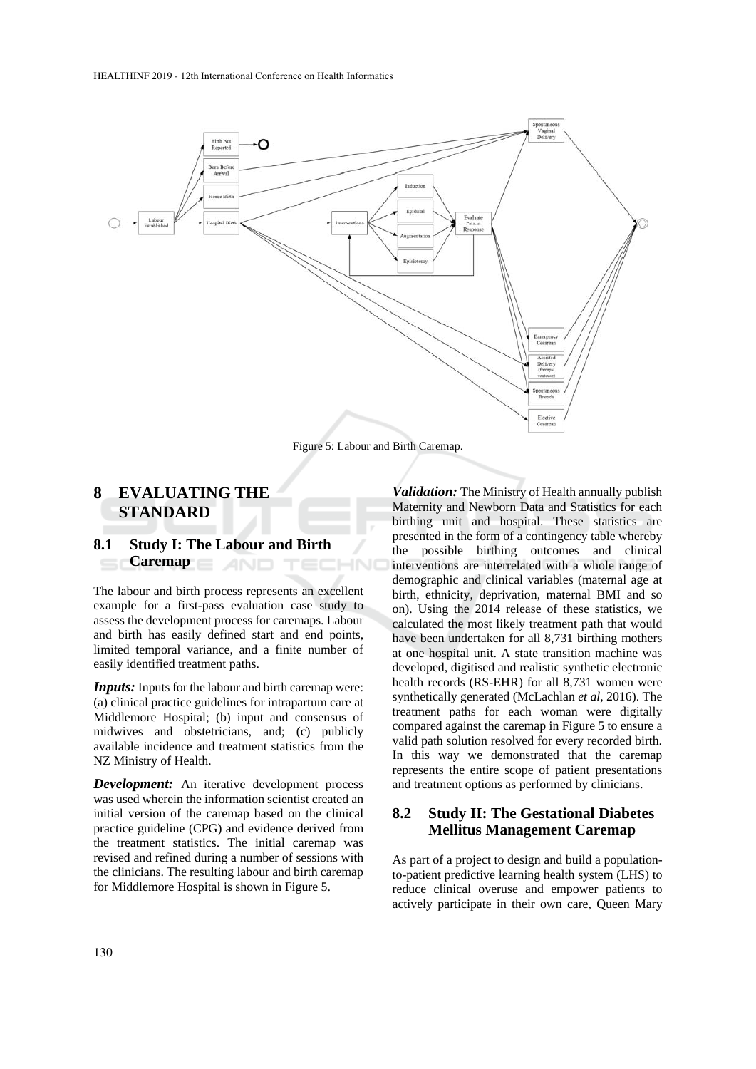

Figure 5: Labour and Birth Caremap.

## **8 EVALUATING THE STANDARD**

#### **8.1 Study I: The Labour and Birth Caremap AND** TECHNO

The labour and birth process represents an excellent example for a first-pass evaluation case study to assess the development process for caremaps. Labour and birth has easily defined start and end points, limited temporal variance, and a finite number of easily identified treatment paths.

*Inputs:* Inputs for the labour and birth caremap were: (a) clinical practice guidelines for intrapartum care at Middlemore Hospital; (b) input and consensus of midwives and obstetricians, and; (c) publicly available incidence and treatment statistics from the NZ Ministry of Health.

*Development:* An iterative development process was used wherein the information scientist created an initial version of the caremap based on the clinical practice guideline (CPG) and evidence derived from the treatment statistics. The initial caremap was revised and refined during a number of sessions with the clinicians. The resulting labour and birth caremap for Middlemore Hospital is shown in Figure 5.

*Validation:* The Ministry of Health annually publish Maternity and Newborn Data and Statistics for each birthing unit and hospital. These statistics are presented in the form of a contingency table whereby the possible birthing outcomes and clinical interventions are interrelated with a whole range of demographic and clinical variables (maternal age at birth, ethnicity, deprivation, maternal BMI and so on). Using the 2014 release of these statistics, we calculated the most likely treatment path that would have been undertaken for all 8,731 birthing mothers at one hospital unit. A state transition machine was developed, digitised and realistic synthetic electronic health records (RS-EHR) for all 8,731 women were synthetically generated (McLachlan *et al,* 2016). The treatment paths for each woman were digitally compared against the caremap in Figure 5 to ensure a valid path solution resolved for every recorded birth. In this way we demonstrated that the caremap represents the entire scope of patient presentations and treatment options as performed by clinicians.

### **8.2 Study II: The Gestational Diabetes Mellitus Management Caremap**

As part of a project to design and build a populationto-patient predictive learning health system (LHS) to reduce clinical overuse and empower patients to actively participate in their own care, Queen Mary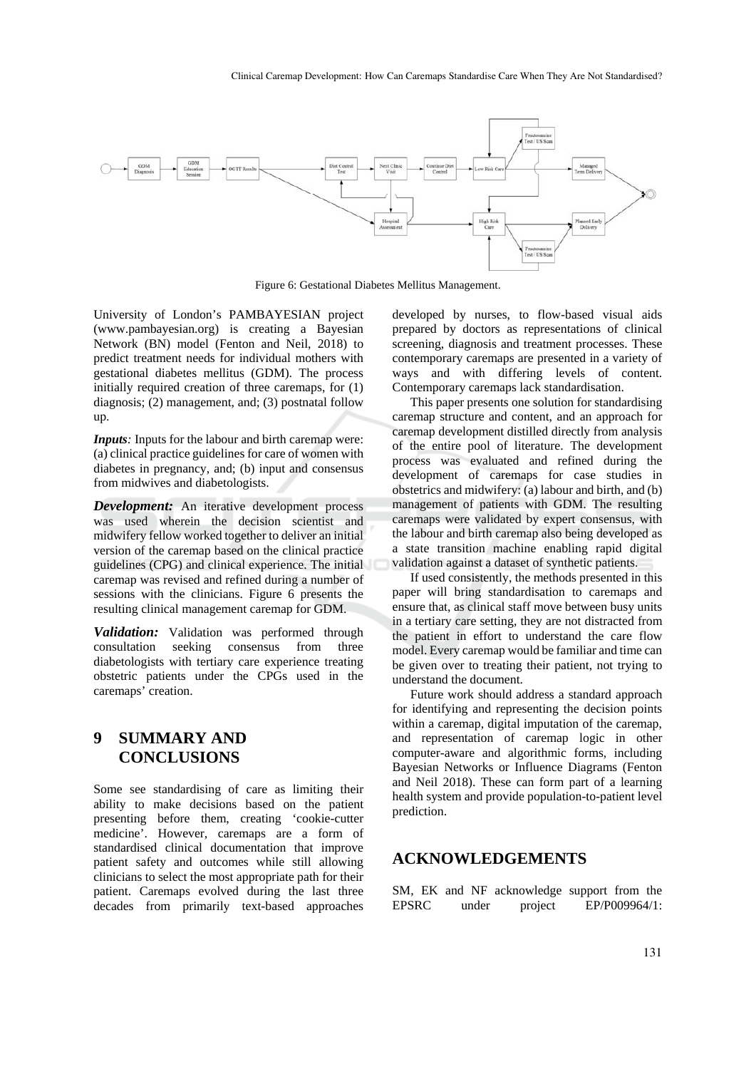

Figure 6: Gestational Diabetes Mellitus Management.

University of London's PAMBAYESIAN project (www.pambayesian.org) is creating a Bayesian Network (BN) model (Fenton and Neil, 2018) to predict treatment needs for individual mothers with gestational diabetes mellitus (GDM). The process initially required creation of three caremaps, for (1) diagnosis; (2) management, and; (3) postnatal follow up.

*Inputs*: Inputs for the labour and birth caremap were: (a) clinical practice guidelines for care of women with diabetes in pregnancy, and; (b) input and consensus from midwives and diabetologists.

*Development:* An iterative development process was used wherein the decision scientist and midwifery fellow worked together to deliver an initial version of the caremap based on the clinical practice guidelines (CPG) and clinical experience. The initial caremap was revised and refined during a number of sessions with the clinicians. Figure 6 presents the resulting clinical management caremap for GDM.

*Validation:* Validation was performed through consultation seeking consensus from three diabetologists with tertiary care experience treating obstetric patients under the CPGs used in the caremaps' creation.

## **9 SUMMARY AND CONCLUSIONS**

Some see standardising of care as limiting their ability to make decisions based on the patient presenting before them, creating 'cookie-cutter medicine'. However, caremaps are a form of standardised clinical documentation that improve patient safety and outcomes while still allowing clinicians to select the most appropriate path for their patient. Caremaps evolved during the last three decades from primarily text-based approaches developed by nurses, to flow-based visual aids prepared by doctors as representations of clinical screening, diagnosis and treatment processes. These contemporary caremaps are presented in a variety of ways and with differing levels of content. Contemporary caremaps lack standardisation.

This paper presents one solution for standardising caremap structure and content, and an approach for caremap development distilled directly from analysis of the entire pool of literature. The development process was evaluated and refined during the development of caremaps for case studies in obstetrics and midwifery: (a) labour and birth, and (b) management of patients with GDM. The resulting caremaps were validated by expert consensus, with the labour and birth caremap also being developed as a state transition machine enabling rapid digital validation against a dataset of synthetic patients.

If used consistently, the methods presented in this paper will bring standardisation to caremaps and ensure that, as clinical staff move between busy units in a tertiary care setting, they are not distracted from the patient in effort to understand the care flow model. Every caremap would be familiar and time can be given over to treating their patient, not trying to understand the document.

Future work should address a standard approach for identifying and representing the decision points within a caremap, digital imputation of the caremap, and representation of caremap logic in other computer-aware and algorithmic forms, including Bayesian Networks or Influence Diagrams (Fenton and Neil 2018). These can form part of a learning health system and provide population-to-patient level prediction.

## **ACKNOWLEDGEMENTS**

SM, EK and NF acknowledge support from the EPSRC under project EP/P009964/1: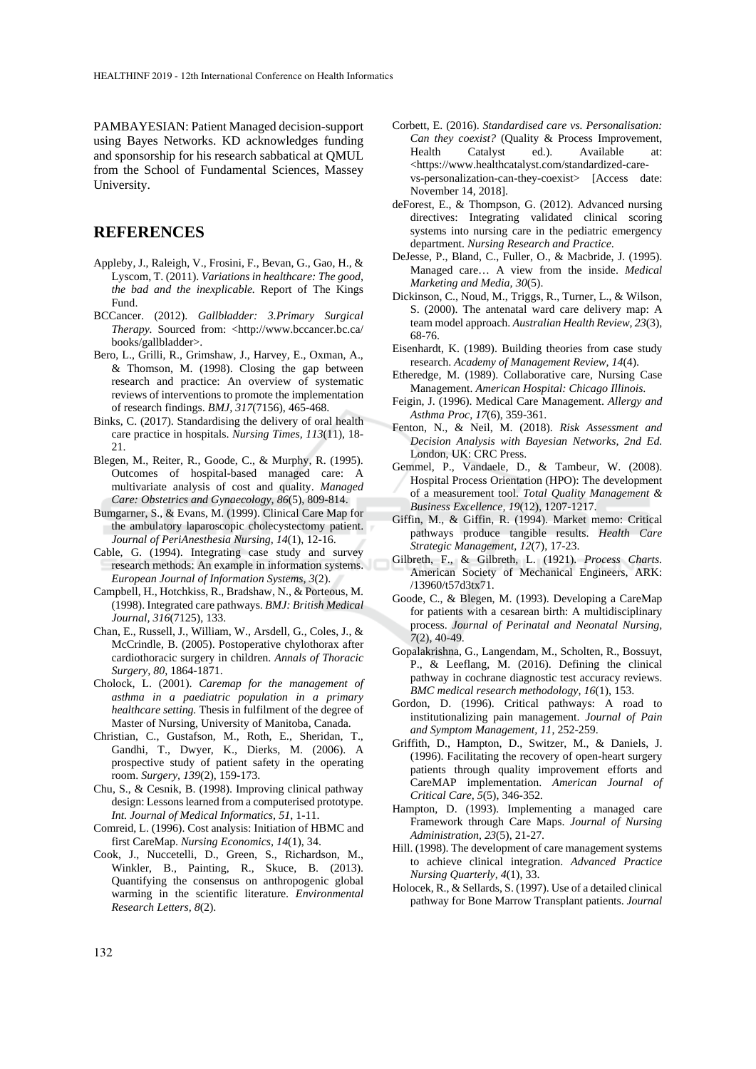PAMBAYESIAN: Patient Managed decision-support using Bayes Networks. KD acknowledges funding and sponsorship for his research sabbatical at QMUL from the School of Fundamental Sciences, Massey University.

#### **REFERENCES**

- Appleby, J., Raleigh, V., Frosini, F., Bevan, G., Gao, H., & Lyscom, T. (2011). *Variations in healthcare: The good, the bad and the inexplicable.* Report of The Kings Fund.
- BCCancer. (2012). *Gallbladder: 3.Primary Surgical Therapy.* Sourced from: <http://www.bccancer.bc.ca/ books/gallbladder>.
- Bero, L., Grilli, R., Grimshaw, J., Harvey, E., Oxman, A., & Thomson, M. (1998). Closing the gap between research and practice: An overview of systematic reviews of interventions to promote the implementation of research findings. *BMJ, 317*(7156), 465-468.
- Binks, C. (2017). Standardising the delivery of oral health care practice in hospitals. *Nursing Times, 113*(11), 18- 21.
- Blegen, M., Reiter, R., Goode, C., & Murphy, R. (1995). Outcomes of hospital-based managed care: A multivariate analysis of cost and quality. *Managed Care: Obstetrics and Gynaecology, 86*(5), 809-814.
- Bumgarner, S., & Evans, M. (1999). Clinical Care Map for the ambulatory laparoscopic cholecystectomy patient. *Journal of PeriAnesthesia Nursing, 14*(1), 12-16.
- Cable, G. (1994). Integrating case study and survey research methods: An example in information systems. *European Journal of Information Systems, 3*(2).
- Campbell, H., Hotchkiss, R., Bradshaw, N., & Porteous, M. (1998). Integrated care pathways. *BMJ: British Medical Journal, 316*(7125), 133.
- Chan, E., Russell, J., William, W., Arsdell, G., Coles, J., & McCrindle, B. (2005). Postoperative chylothorax after cardiothoracic surgery in children. *Annals of Thoracic Surgery, 80*, 1864-1871.
- Cholock, L. (2001). *Caremap for the management of asthma in a paediatric population in a primary healthcare setting.* Thesis in fulfilment of the degree of Master of Nursing, University of Manitoba, Canada.
- Christian, C., Gustafson, M., Roth, E., Sheridan, T., Gandhi, T., Dwyer, K., Dierks, M. (2006). A prospective study of patient safety in the operating room. *Surgery, 139*(2), 159-173.
- Chu, S., & Cesnik, B. (1998). Improving clinical pathway design: Lessons learned from a computerised prototype. *Int. Journal of Medical Informatics, 51*, 1-11.
- Comreid, L. (1996). Cost analysis: Initiation of HBMC and first CareMap. *Nursing Economics, 14*(1), 34.
- Cook, J., Nuccetelli, D., Green, S., Richardson, M., Winkler, B., Painting, R., Skuce, B. (2013). Quantifying the consensus on anthropogenic global warming in the scientific literature. *Environmental Research Letters, 8*(2).
- Corbett, E. (2016). *Standardised care vs. Personalisation: Can they coexist?* (Quality & Process Improvement, Health Catalyst ed.). Available at: <https://www.healthcatalyst.com/standardized-carevs-personalization-can-they-coexist> [Access date: November 14, 2018].
- deForest, E., & Thompson, G. (2012). Advanced nursing directives: Integrating validated clinical scoring systems into nursing care in the pediatric emergency department. *Nursing Research and Practice*.
- DeJesse, P., Bland, C., Fuller, O., & Macbride, J. (1995). Managed care… A view from the inside. *Medical Marketing and Media, 30*(5).
- Dickinson, C., Noud, M., Triggs, R., Turner, L., & Wilson, S. (2000). The antenatal ward care delivery map: A team model approach. *Australian Health Review, 23*(3), 68-76.
- Eisenhardt, K. (1989). Building theories from case study research. *Academy of Management Review, 14*(4).
- Etheredge, M. (1989). Collaborative care, Nursing Case Management. *American Hospital: Chicago Illinois*.
- Feigin, J. (1996). Medical Care Management. *Allergy and Asthma Proc, 17*(6), 359-361.
- Fenton, N., & Neil, M. (2018). *Risk Assessment and Decision Analysis with Bayesian Networks, 2nd Ed.* London, UK: CRC Press.
- Gemmel, P., Vandaele, D., & Tambeur, W. (2008). Hospital Process Orientation (HPO): The development of a measurement tool. *Total Quality Management & Business Excellence, 19*(12), 1207-1217.
- Giffin, M., & Giffin, R. (1994). Market memo: Critical pathways produce tangible results. *Health Care Strategic Management, 12*(7), 17-23.
- Gilbreth, F., & Gilbreth, L. (1921). *Process Charts.* American Society of Mechanical Engineers, ARK: /13960/t57d3tx71.
- Goode, C., & Blegen, M. (1993). Developing a CareMap for patients with a cesarean birth: A multidisciplinary process. *Journal of Perinatal and Neonatal Nursing, 7*(2), 40-49.
- Gopalakrishna, G., Langendam, M., Scholten, R., Bossuyt, P., & Leeflang, M. (2016). Defining the clinical pathway in cochrane diagnostic test accuracy reviews. *BMC medical research methodology, 16*(1), 153.
- Gordon, D. (1996). Critical pathways: A road to institutionalizing pain management. *Journal of Pain and Symptom Management, 11*, 252-259.
- Griffith, D., Hampton, D., Switzer, M., & Daniels, J. (1996). Facilitating the recovery of open-heart surgery patients through quality improvement efforts and CareMAP implementation. *American Journal of Critical Care, 5*(5), 346-352.
- Hampton, D. (1993). Implementing a managed care Framework through Care Maps. *Journal of Nursing Administration, 23*(5), 21-27.
- Hill. (1998). The development of care management systems to achieve clinical integration. *Advanced Practice Nursing Quarterly, 4*(1), 33.
- Holocek, R., & Sellards, S. (1997). Use of a detailed clinical pathway for Bone Marrow Transplant patients. *Journal*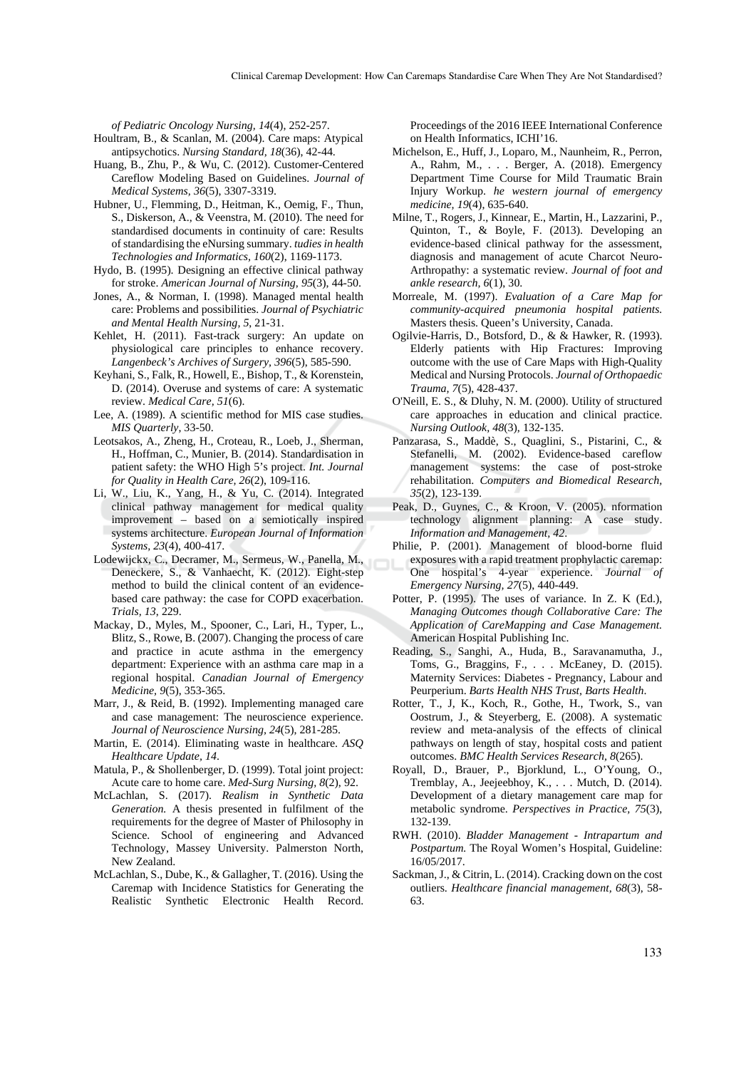*of Pediatric Oncology Nursing, 14*(4), 252-257.

- Houltram, B., & Scanlan, M. (2004). Care maps: Atypical antipsychotics. *Nursing Standard, 18*(36), 42-44.
- Huang, B., Zhu, P., & Wu, C. (2012). Customer-Centered Careflow Modeling Based on Guidelines. *Journal of Medical Systems, 36*(5), 3307-3319.
- Hubner, U., Flemming, D., Heitman, K., Oemig, F., Thun, S., Diskerson, A., & Veenstra, M. (2010). The need for standardised documents in continuity of care: Results of standardising the eNursing summary. *tudies in health Technologies and Informatics, 160*(2), 1169-1173.
- Hydo, B. (1995). Designing an effective clinical pathway for stroke. *American Journal of Nursing, 95*(3), 44-50.
- Jones, A., & Norman, I. (1998). Managed mental health care: Problems and possibilities. *Journal of Psychiatric and Mental Health Nursing, 5*, 21-31.
- Kehlet, H. (2011). Fast-track surgery: An update on physiological care principles to enhance recovery. *Langenbeck's Archives of Surgery, 396*(5), 585-590.
- Keyhani, S., Falk, R., Howell, E., Bishop, T., & Korenstein, D. (2014). Overuse and systems of care: A systematic review. *Medical Care, 51*(6).
- Lee, A. (1989). A scientific method for MIS case studies. *MIS Quarterly*, 33-50.
- Leotsakos, A., Zheng, H., Croteau, R., Loeb, J., Sherman, H., Hoffman, C., Munier, B. (2014). Standardisation in patient safety: the WHO High 5's project. *Int. Journal for Quality in Health Care, 26*(2), 109-116.
- Li, W., Liu, K., Yang, H., & Yu, C. (2014). Integrated clinical pathway management for medical quality improvement – based on a semiotically inspired systems architecture. *European Journal of Information Systems, 23*(4), 400-417.
- Lodewijckx, C., Decramer, M., Sermeus, W., Panella, M., Deneckere, S., & Vanhaecht, K. (2012). Eight-step method to build the clinical content of an evidencebased care pathway: the case for COPD exacerbation. *Trials, 13*, 229.
- Mackay, D., Myles, M., Spooner, C., Lari, H., Typer, L., Blitz, S., Rowe, B. (2007). Changing the process of care and practice in acute asthma in the emergency department: Experience with an asthma care map in a regional hospital. *Canadian Journal of Emergency Medicine, 9*(5), 353-365.
- Marr, J., & Reid, B. (1992). Implementing managed care and case management: The neuroscience experience. *Journal of Neuroscience Nursing, 24*(5), 281-285.
- Martin, E. (2014). Eliminating waste in healthcare. *ASQ Healthcare Update, 14*.
- Matula, P., & Shollenberger, D. (1999). Total joint project: Acute care to home care. *Med-Surg Nursing, 8*(2), 92.
- McLachlan, S. (2017). *Realism in Synthetic Data Generation.* A thesis presented in fulfilment of the requirements for the degree of Master of Philosophy in Science. School of engineering and Advanced Technology, Massey University. Palmerston North, New Zealand.
- McLachlan, S., Dube, K., & Gallagher, T. (2016). Using the Caremap with Incidence Statistics for Generating the Realistic Synthetic Electronic Health Record.

Proceedings of the 2016 IEEE International Conference on Health Informatics, ICHI'16.

- Michelson, E., Huff, J., Loparo, M., Naunheim, R., Perron, A., Rahm, M., . . . Berger, A. (2018). Emergency Department Time Course for Mild Traumatic Brain Injury Workup. *he western journal of emergency medicine, 19*(4), 635-640.
- Milne, T., Rogers, J., Kinnear, E., Martin, H., Lazzarini, P., Quinton, T., & Boyle, F. (2013). Developing an evidence-based clinical pathway for the assessment, diagnosis and management of acute Charcot Neuro-Arthropathy: a systematic review. *Journal of foot and ankle research, 6*(1), 30.
- Morreale, M. (1997). *Evaluation of a Care Map for community-acquired pneumonia hospital patients.* Masters thesis. Queen's University, Canada.
- Ogilvie-Harris, D., Botsford, D., & & Hawker, R. (1993). Elderly patients with Hip Fractures: Improving outcome with the use of Care Maps with High-Quality Medical and Nursing Protocols. *Journal of Orthopaedic Trauma, 7*(5), 428-437.
- O'Neill, E. S., & Dluhy, N. M. (2000). Utility of structured care approaches in education and clinical practice. *Nursing Outlook, 48*(3), 132-135.
- Panzarasa, S., Maddè, S., Quaglini, S., Pistarini, C., & Stefanelli, M. (2002). Evidence-based careflow management systems: the case of post-stroke rehabilitation. *Computers and Biomedical Research, 35*(2), 123-139.
- Peak, D., Guynes, C., & Kroon, V. (2005). nformation technology alignment planning: A case study. *Information and Management, 42*.
- Philie, P. (2001). Management of blood-borne fluid exposures with a rapid treatment prophylactic caremap: One hospital's 4-year experience. *Journal of Emergency Nursing, 27*(5), 440-449.
- Potter, P. (1995). The uses of variance. In Z. K (Ed.), *Managing Outcomes though Collaborative Care: The Application of CareMapping and Case Management.* American Hospital Publishing Inc.
- Reading, S., Sanghi, A., Huda, B., Saravanamutha, J., Toms, G., Braggins, F., . . . McEaney, D. (2015). Maternity Services: Diabetes - Pregnancy, Labour and Peurperium. *Barts Health NHS Trust, Barts Health*.
- Rotter, T., J, K., Koch, R., Gothe, H., Twork, S., van Oostrum, J., & Steyerberg, E. (2008). A systematic review and meta-analysis of the effects of clinical pathways on length of stay, hospital costs and patient outcomes. *BMC Health Services Research, 8*(265).
- Royall, D., Brauer, P., Bjorklund, L., O'Young, O., Tremblay, A., Jeejeebhoy, K., . . . Mutch, D. (2014). Development of a dietary management care map for metabolic syndrome. *Perspectives in Practice, 75*(3), 132-139.
- RWH. (2010). *Bladder Management Intrapartum and Postpartum.* The Royal Women's Hospital, Guideline: 16/05/2017.
- Sackman, J., & Citrin, L. (2014). Cracking down on the cost outliers. *Healthcare financial management, 68*(3), 58- 63.